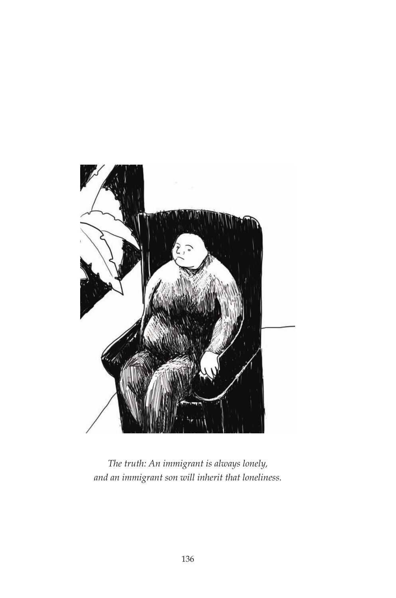

*The truth: An immigrant is always lonely, and an immigrant son will inherit that loneliness.*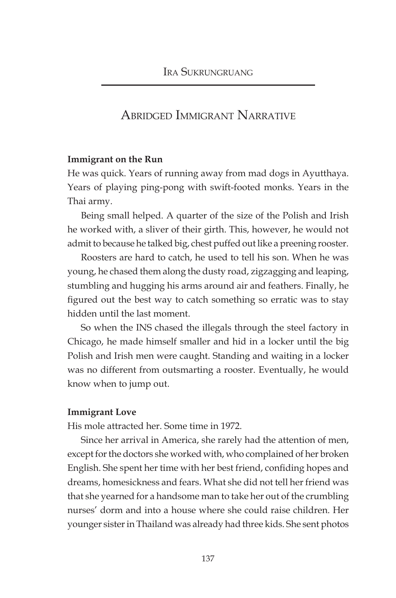# Abridged Immigrant Narrative

## **Immigrant on the Run**

He was quick. Years of running away from mad dogs in Ayutthaya. Years of playing ping-pong with swift-footed monks. Years in the Thai army.

Being small helped. A quarter of the size of the Polish and Irish he worked with, a sliver of their girth. This, however, he would not admit to because he talked big, chest puffed out like a preening rooster.

Roosters are hard to catch, he used to tell his son. When he was young, he chased them along the dusty road, zigzagging and leaping, stumbling and hugging his arms around air and feathers. Finally, he figured out the best way to catch something so erratic was to stay hidden until the last moment.

So when the INS chased the illegals through the steel factory in Chicago, he made himself smaller and hid in a locker until the big Polish and Irish men were caught. Standing and waiting in a locker was no different from outsmarting a rooster. Eventually, he would know when to jump out.

#### **Immigrant Love**

His mole attracted her. Some time in 1972.

Since her arrival in America, she rarely had the attention of men, except for the doctors she worked with, who complained of her broken English. She spent her time with her best friend, confiding hopes and dreams, homesickness and fears. What she did not tell her friend was that she yearned for a handsome man to take her out of the crumbling nurses' dorm and into a house where she could raise children. Her younger sister in Thailand was already had three kids. She sent photos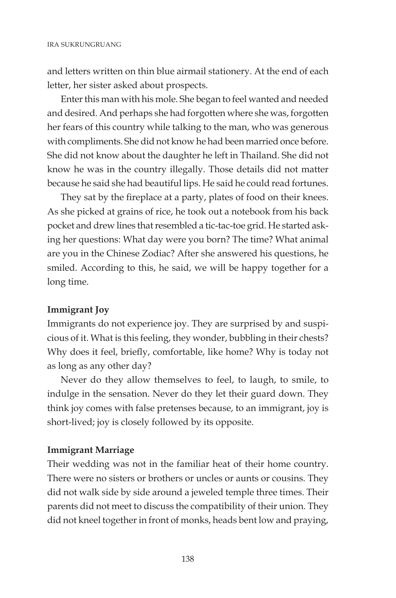and letters written on thin blue airmail stationery. At the end of each letter, her sister asked about prospects.

Enter this man with his mole. She began to feel wanted and needed and desired. And perhaps she had forgotten where she was, forgotten her fears of this country while talking to the man, who was generous with compliments. She did not know he had been married once before. She did not know about the daughter he left in Thailand. She did not know he was in the country illegally. Those details did not matter because he said she had beautiful lips. He said he could read fortunes.

They sat by the fireplace at a party, plates of food on their knees. As she picked at grains of rice, he took out a notebook from his back pocket and drew lines that resembled a tic-tac-toe grid. He started asking her questions: What day were you born? The time? What animal are you in the Chinese Zodiac? After she answered his questions, he smiled. According to this, he said, we will be happy together for a long time.

# **Immigrant Joy**

Immigrants do not experience joy. They are surprised by and suspicious of it. What is this feeling, they wonder, bubbling in their chests? Why does it feel, briefly, comfortable, like home? Why is today not as long as any other day?

Never do they allow themselves to feel, to laugh, to smile, to indulge in the sensation. Never do they let their guard down. They think joy comes with false pretenses because, to an immigrant, joy is short-lived; joy is closely followed by its opposite.

# **Immigrant Marriage**

Their wedding was not in the familiar heat of their home country. There were no sisters or brothers or uncles or aunts or cousins. They did not walk side by side around a jeweled temple three times. Their parents did not meet to discuss the compatibility of their union. They did not kneel together in front of monks, heads bent low and praying,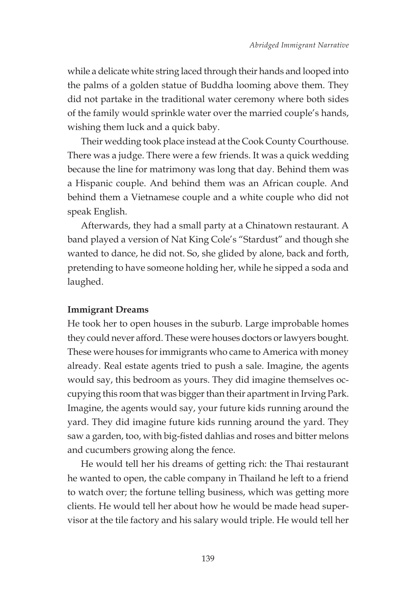while a delicate white string laced through their hands and looped into the palms of a golden statue of Buddha looming above them. They did not partake in the traditional water ceremony where both sides of the family would sprinkle water over the married couple's hands, wishing them luck and a quick baby.

Their wedding took place instead at the Cook County Courthouse. There was a judge. There were a few friends. It was a quick wedding because the line for matrimony was long that day. Behind them was a Hispanic couple. And behind them was an African couple. And behind them a Vietnamese couple and a white couple who did not speak English.

Afterwards, they had a small party at a Chinatown restaurant. A band played a version of Nat King Cole's "Stardust" and though she wanted to dance, he did not. So, she glided by alone, back and forth, pretending to have someone holding her, while he sipped a soda and laughed.

## **Immigrant Dreams**

He took her to open houses in the suburb. Large improbable homes they could never afford. These were houses doctors or lawyers bought. These were houses for immigrants who came to America with money already. Real estate agents tried to push a sale. Imagine, the agents would say, this bedroom as yours. They did imagine themselves occupying this room that was bigger than their apartment in Irving Park. Imagine, the agents would say, your future kids running around the yard. They did imagine future kids running around the yard. They saw a garden, too, with big-fisted dahlias and roses and bitter melons and cucumbers growing along the fence.

He would tell her his dreams of getting rich: the Thai restaurant he wanted to open, the cable company in Thailand he left to a friend to watch over; the fortune telling business, which was getting more clients. He would tell her about how he would be made head supervisor at the tile factory and his salary would triple. He would tell her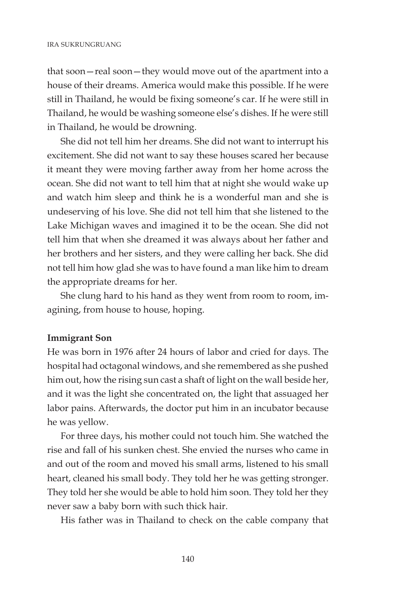that soon—real soon—they would move out of the apartment into a house of their dreams. America would make this possible. If he were still in Thailand, he would be fixing someone's car. If he were still in Thailand, he would be washing someone else's dishes. If he were still in Thailand, he would be drowning.

She did not tell him her dreams. She did not want to interrupt his excitement. She did not want to say these houses scared her because it meant they were moving farther away from her home across the ocean. She did not want to tell him that at night she would wake up and watch him sleep and think he is a wonderful man and she is undeserving of his love. She did not tell him that she listened to the Lake Michigan waves and imagined it to be the ocean. She did not tell him that when she dreamed it was always about her father and her brothers and her sisters, and they were calling her back. She did not tell him how glad she was to have found a man like him to dream the appropriate dreams for her.

She clung hard to his hand as they went from room to room, imagining, from house to house, hoping.

## **Immigrant Son**

He was born in 1976 after 24 hours of labor and cried for days. The hospital had octagonal windows, and she remembered as she pushed him out, how the rising sun cast a shaft of light on the wall beside her, and it was the light she concentrated on, the light that assuaged her labor pains. Afterwards, the doctor put him in an incubator because he was yellow.

For three days, his mother could not touch him. She watched the rise and fall of his sunken chest. She envied the nurses who came in and out of the room and moved his small arms, listened to his small heart, cleaned his small body. They told her he was getting stronger. They told her she would be able to hold him soon. They told her they never saw a baby born with such thick hair.

His father was in Thailand to check on the cable company that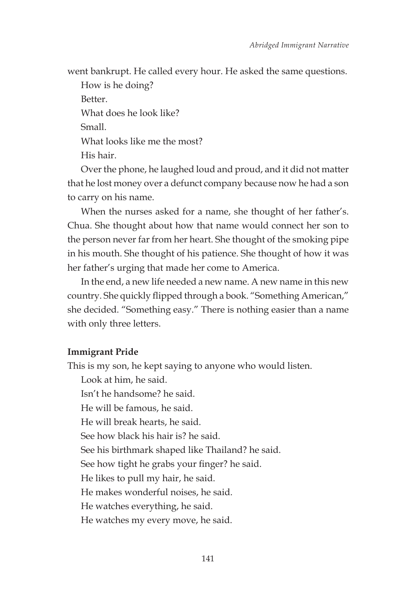went bankrupt. He called every hour. He asked the same questions.

How is he doing? Better. What does he look like? Small. What looks like me the most? His hair.

Over the phone, he laughed loud and proud, and it did not matter that he lost money over a defunct company because now he had a son to carry on his name.

When the nurses asked for a name, she thought of her father's. Chua. She thought about how that name would connect her son to the person never far from her heart. She thought of the smoking pipe in his mouth. She thought of his patience. She thought of how it was her father's urging that made her come to America.

In the end, a new life needed a new name. A new name in this new country. She quickly flipped through a book. "Something American," she decided. "Something easy." There is nothing easier than a name with only three letters.

## **Immigrant Pride**

This is my son, he kept saying to anyone who would listen. Look at him, he said. Isn't he handsome? he said. He will be famous, he said. He will break hearts, he said. See how black his hair is? he said. See his birthmark shaped like Thailand? he said. See how tight he grabs your finger? he said. He likes to pull my hair, he said. He makes wonderful noises, he said. He watches everything, he said. He watches my every move, he said.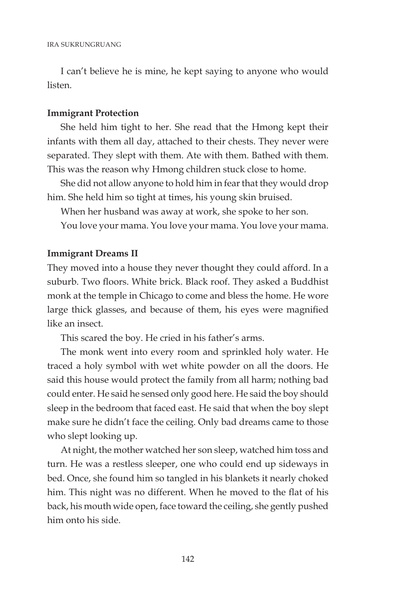I can't believe he is mine, he kept saying to anyone who would listen.

# **Immigrant Protection**

She held him tight to her. She read that the Hmong kept their infants with them all day, attached to their chests. They never were separated. They slept with them. Ate with them. Bathed with them. This was the reason why Hmong children stuck close to home.

She did not allow anyone to hold him in fear that they would drop him. She held him so tight at times, his young skin bruised.

When her husband was away at work, she spoke to her son.

You love your mama. You love your mama. You love your mama.

#### **Immigrant Dreams II**

They moved into a house they never thought they could afford. In a suburb. Two floors. White brick. Black roof. They asked a Buddhist monk at the temple in Chicago to come and bless the home. He wore large thick glasses, and because of them, his eyes were magnified like an insect.

This scared the boy. He cried in his father's arms.

The monk went into every room and sprinkled holy water. He traced a holy symbol with wet white powder on all the doors. He said this house would protect the family from all harm; nothing bad could enter. He said he sensed only good here. He said the boy should sleep in the bedroom that faced east. He said that when the boy slept make sure he didn't face the ceiling. Only bad dreams came to those who slept looking up.

At night, the mother watched her son sleep, watched him toss and turn. He was a restless sleeper, one who could end up sideways in bed. Once, she found him so tangled in his blankets it nearly choked him. This night was no different. When he moved to the flat of his back, his mouth wide open, face toward the ceiling, she gently pushed him onto his side.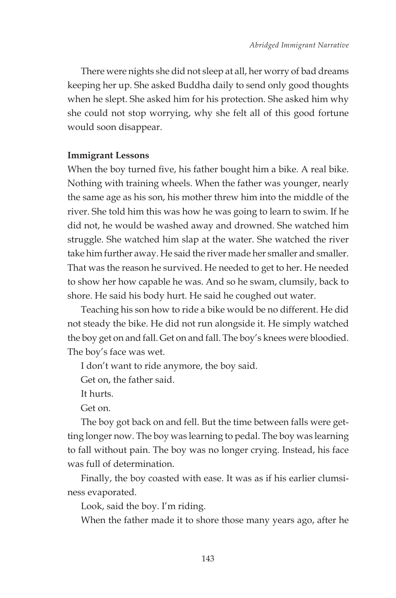There were nights she did not sleep at all, her worry of bad dreams keeping her up. She asked Buddha daily to send only good thoughts when he slept. She asked him for his protection. She asked him why she could not stop worrying, why she felt all of this good fortune would soon disappear.

# **Immigrant Lessons**

When the boy turned five, his father bought him a bike. A real bike. Nothing with training wheels. When the father was younger, nearly the same age as his son, his mother threw him into the middle of the river. She told him this was how he was going to learn to swim. If he did not, he would be washed away and drowned. She watched him struggle. She watched him slap at the water. She watched the river take him further away. He said the river made her smaller and smaller. That was the reason he survived. He needed to get to her. He needed to show her how capable he was. And so he swam, clumsily, back to shore. He said his body hurt. He said he coughed out water.

Teaching his son how to ride a bike would be no different. He did not steady the bike. He did not run alongside it. He simply watched the boy get on and fall. Get on and fall. The boy's knees were bloodied. The boy's face was wet.

I don't want to ride anymore, the boy said.

Get on, the father said.

It hurts.

Get on.

The boy got back on and fell. But the time between falls were getting longer now. The boy was learning to pedal. The boy was learning to fall without pain. The boy was no longer crying. Instead, his face was full of determination.

Finally, the boy coasted with ease. It was as if his earlier clumsiness evaporated.

Look, said the boy. I'm riding.

When the father made it to shore those many years ago, after he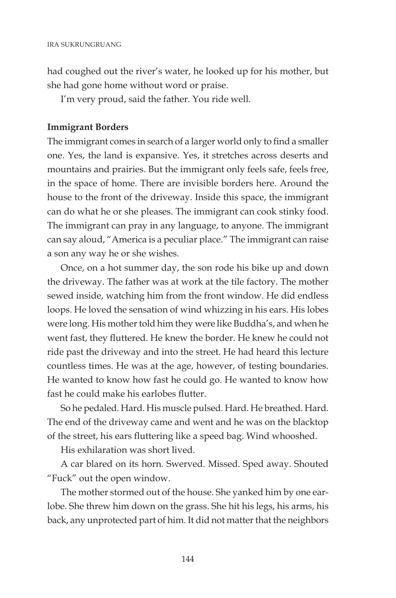had coughed out the river's water, he looked up for his mother, but she had gone home without word or praise.

I'm very proud, said the father. You ride well.

# **Immigrant Borders**

The immigrant comes in search of a larger world only to find a smaller one. Yes, the land is expansive. Yes, it stretches across deserts and mountains and prairies. But the immigrant only feels safe, feels free, in the space of home. There are invisible borders here. Around the house to the front of the driveway. Inside this space, the immigrant can do what he or she pleases. The immigrant can cook stinky food. The immigrant can pray in any language, to anyone. The immigrant can say aloud, "America is a peculiar place." The immigrant can raise a son any way he or she wishes.

Once, on a hot summer day, the son rode his bike up and down the driveway. The father was at work at the tile factory. The mother sewed inside, watching him from the front window. He did endless loops. He loved the sensation of wind whizzing in his ears. His lobes were long. His mother told him they were like Buddha's, and when he went fast, they fluttered. He knew the border. He knew he could not ride past the driveway and into the street. He had heard this lecture countless times. He was at the age, however, of testing boundaries. He wanted to know how fast he could go. He wanted to know how fast he could make his earlobes flutter.

So he pedaled. Hard. His muscle pulsed. Hard. He breathed. Hard. The end of the driveway came and went and he was on the blacktop of the street, his ears fluttering like a speed bag. Wind whooshed.

His exhilaration was short lived.

A car blared on its horn. Swerved. Missed. Sped away. Shouted "Fuck" out the open window.

The mother stormed out of the house. She yanked him by one earlobe. She threw him down on the grass. She hit his legs, his arms, his back, any unprotected part of him. It did not matter that the neighbors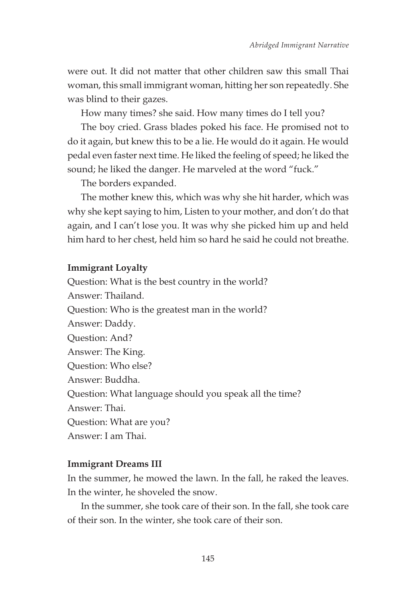were out. It did not matter that other children saw this small Thai woman, this small immigrant woman, hitting her son repeatedly. She was blind to their gazes.

How many times? she said. How many times do I tell you?

The boy cried. Grass blades poked his face. He promised not to do it again, but knew this to be a lie. He would do it again. He would pedal even faster next time. He liked the feeling of speed; he liked the sound; he liked the danger. He marveled at the word "fuck."

The borders expanded.

The mother knew this, which was why she hit harder, which was why she kept saying to him, Listen to your mother, and don't do that again, and I can't lose you. It was why she picked him up and held him hard to her chest, held him so hard he said he could not breathe.

#### **Immigrant Loyalty**

Question: What is the best country in the world? Answer: Thailand. Question: Who is the greatest man in the world? Answer: Daddy. Question: And? Answer: The King. Question: Who else? Answer: Buddha. Question: What language should you speak all the time? Answer: Thai. Question: What are you? Answer: I am Thai.

#### **Immigrant Dreams III**

In the summer, he mowed the lawn. In the fall, he raked the leaves. In the winter, he shoveled the snow.

In the summer, she took care of their son. In the fall, she took care of their son. In the winter, she took care of their son.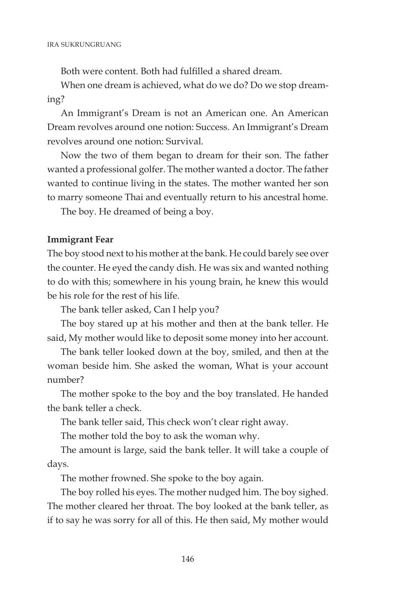Both were content. Both had fulfilled a shared dream.

When one dream is achieved, what do we do? Do we stop dreaming?

An Immigrant's Dream is not an American one. An American Dream revolves around one notion: Success. An Immigrant's Dream revolves around one notion: Survival.

Now the two of them began to dream for their son. The father wanted a professional golfer. The mother wanted a doctor. The father wanted to continue living in the states. The mother wanted her son to marry someone Thai and eventually return to his ancestral home.

The boy. He dreamed of being a boy.

# **Immigrant Fear**

The boy stood next to his mother at the bank. He could barely see over the counter. He eyed the candy dish. He was six and wanted nothing to do with this; somewhere in his young brain, he knew this would be his role for the rest of his life.

The bank teller asked, Can I help you?

The boy stared up at his mother and then at the bank teller. He said, My mother would like to deposit some money into her account.

The bank teller looked down at the boy, smiled, and then at the woman beside him. She asked the woman, What is your account number?

The mother spoke to the boy and the boy translated. He handed the bank teller a check.

The bank teller said, This check won't clear right away.

The mother told the boy to ask the woman why.

The amount is large, said the bank teller. It will take a couple of days.

The mother frowned. She spoke to the boy again.

The boy rolled his eyes. The mother nudged him. The boy sighed. The mother cleared her throat. The boy looked at the bank teller, as if to say he was sorry for all of this. He then said, My mother would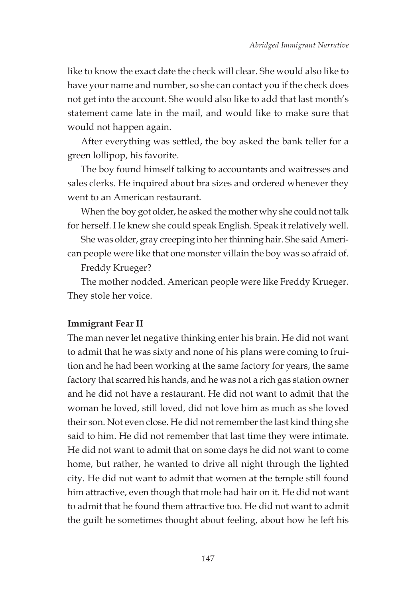like to know the exact date the check will clear. She would also like to have your name and number, so she can contact you if the check does not get into the account. She would also like to add that last month's statement came late in the mail, and would like to make sure that would not happen again.

After everything was settled, the boy asked the bank teller for a green lollipop, his favorite.

The boy found himself talking to accountants and waitresses and sales clerks. He inquired about bra sizes and ordered whenever they went to an American restaurant.

When the boy got older, he asked the mother why she could not talk for herself. He knew she could speak English. Speak it relatively well.

She was older, gray creeping into her thinning hair. She said American people were like that one monster villain the boy was so afraid of.

Freddy Krueger?

The mother nodded. American people were like Freddy Krueger. They stole her voice.

#### **Immigrant Fear II**

The man never let negative thinking enter his brain. He did not want to admit that he was sixty and none of his plans were coming to fruition and he had been working at the same factory for years, the same factory that scarred his hands, and he was not a rich gas station owner and he did not have a restaurant. He did not want to admit that the woman he loved, still loved, did not love him as much as she loved their son. Not even close. He did not remember the last kind thing she said to him. He did not remember that last time they were intimate. He did not want to admit that on some days he did not want to come home, but rather, he wanted to drive all night through the lighted city. He did not want to admit that women at the temple still found him attractive, even though that mole had hair on it. He did not want to admit that he found them attractive too. He did not want to admit the guilt he sometimes thought about feeling, about how he left his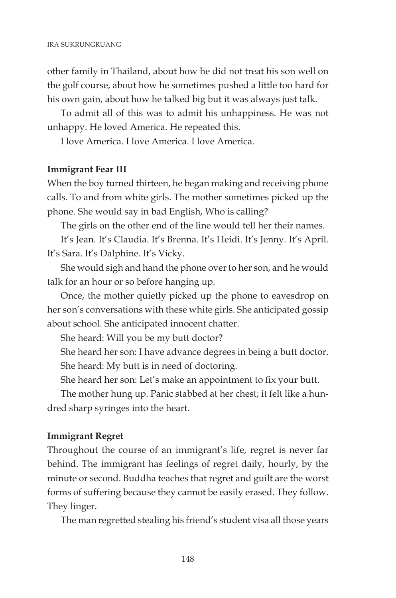other family in Thailand, about how he did not treat his son well on the golf course, about how he sometimes pushed a little too hard for his own gain, about how he talked big but it was always just talk.

To admit all of this was to admit his unhappiness. He was not unhappy. He loved America. He repeated this.

I love America. I love America. I love America.

# **Immigrant Fear III**

When the boy turned thirteen, he began making and receiving phone calls. To and from white girls. The mother sometimes picked up the phone. She would say in bad English, Who is calling?

The girls on the other end of the line would tell her their names.

It's Jean. It's Claudia. It's Brenna. It's Heidi. It's Jenny. It's April. It's Sara. It's Dalphine. It's Vicky.

She would sigh and hand the phone over to her son, and he would talk for an hour or so before hanging up.

Once, the mother quietly picked up the phone to eavesdrop on her son's conversations with these white girls. She anticipated gossip about school. She anticipated innocent chatter.

She heard: Will you be my butt doctor?

She heard her son: I have advance degrees in being a butt doctor. She heard: My butt is in need of doctoring.

She heard her son: Let's make an appointment to fix your butt.

The mother hung up. Panic stabbed at her chest; it felt like a hundred sharp syringes into the heart.

## **Immigrant Regret**

Throughout the course of an immigrant's life, regret is never far behind. The immigrant has feelings of regret daily, hourly, by the minute or second. Buddha teaches that regret and guilt are the worst forms of suffering because they cannot be easily erased. They follow. They linger.

The man regretted stealing his friend's student visa all those years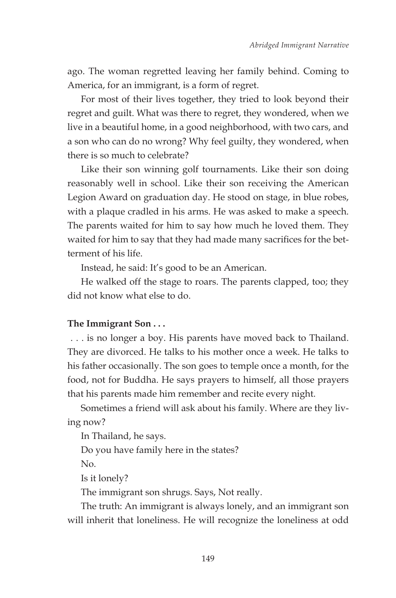ago. The woman regretted leaving her family behind. Coming to America, for an immigrant, is a form of regret.

For most of their lives together, they tried to look beyond their regret and guilt. What was there to regret, they wondered, when we live in a beautiful home, in a good neighborhood, with two cars, and a son who can do no wrong? Why feel guilty, they wondered, when there is so much to celebrate?

Like their son winning golf tournaments. Like their son doing reasonably well in school. Like their son receiving the American Legion Award on graduation day. He stood on stage, in blue robes, with a plaque cradled in his arms. He was asked to make a speech. The parents waited for him to say how much he loved them. They waited for him to say that they had made many sacrifices for the betterment of his life.

Instead, he said: It's good to be an American.

He walked off the stage to roars. The parents clapped, too; they did not know what else to do.

## **The Immigrant Son . . .**

 . . . is no longer a boy. His parents have moved back to Thailand. They are divorced. He talks to his mother once a week. He talks to his father occasionally. The son goes to temple once a month, for the food, not for Buddha. He says prayers to himself, all those prayers that his parents made him remember and recite every night.

Sometimes a friend will ask about his family. Where are they living now?

In Thailand, he says.

Do you have family here in the states?

No.

Is it lonely?

The immigrant son shrugs. Says, Not really.

The truth: An immigrant is always lonely, and an immigrant son will inherit that loneliness. He will recognize the loneliness at odd